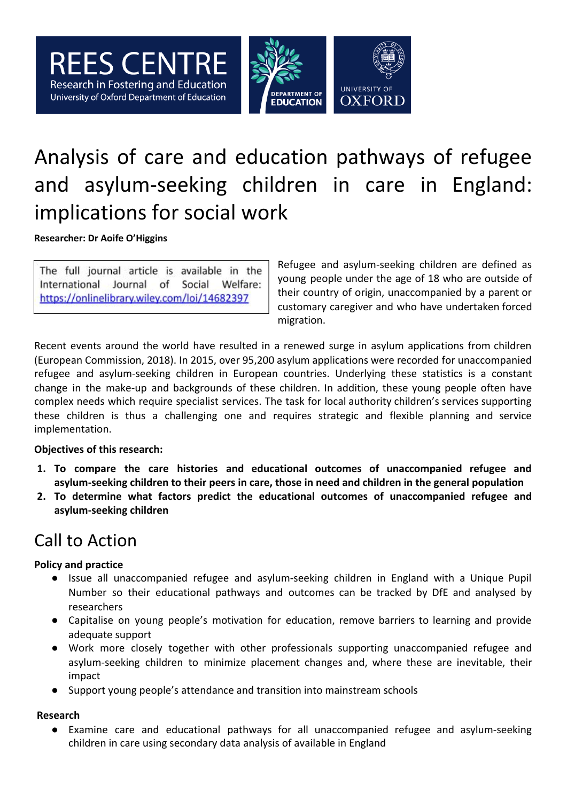

# Analysis of care and education pathways of refugee and asylum-seeking children in care in England: implications for social work

**Researcher: Dr Aoife O'Higgins**

The full journal article is available in the International Journal of Social Welfare: https://onlinelibrary.wiley.com/loi/14682397

Refugee and asylum-seeking children are defined as young people under the age of 18 who are outside of their country of origin, unaccompanied by a parent or customary caregiver and who have undertaken forced migration.

Recent events around the world have resulted in a renewed surge in asylum applications from children (European Commission, 2018). In 2015, over 95,200 asylum applications were recorded for unaccompanied refugee and asylum-seeking children in European countries. Underlying these statistics is a constant change in the make-up and backgrounds of these children. In addition, these young people often have complex needs which require specialist services. The task for local authority children's services supporting these children is thus a challenging one and requires strategic and flexible planning and service implementation.

#### **Objectives of this research:**

- **1. To compare the care histories and educational outcomes of unaccompanied refugee and asylum-seeking children to their peers in care, those in need and children in the general population**
- **2. To determine what factors predict the educational outcomes of unaccompanied refugee and asylum-seeking children**

### Call to Action

#### **Policy and practice**

- Issue all unaccompanied refugee and asylum-seeking children in England with a Unique Pupil Number so their educational pathways and outcomes can be tracked by DfE and analysed by researchers
- Capitalise on young people's motivation for education, remove barriers to learning and provide adequate support
- Work more closely together with other professionals supporting unaccompanied refugee and asylum-seeking children to minimize placement changes and, where these are inevitable, their impact
- Support young people's attendance and transition into mainstream schools

#### **Research**

● Examine care and educational pathways for all unaccompanied refugee and asylum-seeking children in care using secondary data analysis of available in England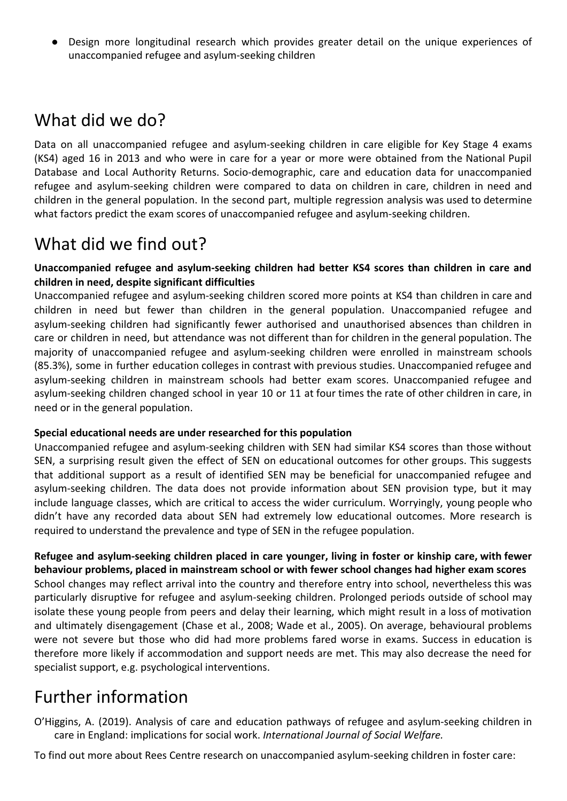● Design more longitudinal research which provides greater detail on the unique experiences of unaccompanied refugee and asylum-seeking children

# What did we do?

Data on all unaccompanied refugee and asylum-seeking children in care eligible for Key Stage 4 exams (KS4) aged 16 in 2013 and who were in care for a year or more were obtained from the National Pupil Database and Local Authority Returns. Socio-demographic, care and education data for unaccompanied refugee and asylum-seeking children were compared to data on children in care, children in need and children in the general population. In the second part, multiple regression analysis was used to determine what factors predict the exam scores of unaccompanied refugee and asylum-seeking children.

# What did we find out?

**Unaccompanied refugee and asylum-seeking children had better KS4 scores than children in care and children in need, despite significant difficulties**

Unaccompanied refugee and asylum-seeking children scored more points at KS4 than children in care and children in need but fewer than children in the general population. Unaccompanied refugee and asylum-seeking children had significantly fewer authorised and unauthorised absences than children in care or children in need, but attendance was not different than for children in the general population. The majority of unaccompanied refugee and asylum-seeking children were enrolled in mainstream schools (85.3%), some in further education colleges in contrast with previous studies. Unaccompanied refugee and asylum-seeking children in mainstream schools had better exam scores. Unaccompanied refugee and asylum-seeking children changed school in year 10 or 11 at four times the rate of other children in care, in need or in the general population.

#### **Special educational needs are under researched for this population**

Unaccompanied refugee and asylum-seeking children with SEN had similar KS4 scores than those without SEN, a surprising result given the effect of SEN on educational outcomes for other groups. This suggests that additional support as a result of identified SEN may be beneficial for unaccompanied refugee and asylum-seeking children. The data does not provide information about SEN provision type, but it may include language classes, which are critical to access the wider curriculum. Worryingly, young people who didn't have any recorded data about SEN had extremely low educational outcomes. More research is required to understand the prevalence and type of SEN in the refugee population.

**Refugee and asylum-seeking children placed in care younger, living in foster or kinship care, with fewer behaviour problems, placed in mainstream school or with fewer school changes had higher exam scores** School changes may reflect arrival into the country and therefore entry into school, nevertheless this was particularly disruptive for refugee and asylum-seeking children. Prolonged periods outside of school may isolate these young people from peers and delay their learning, which might result in a loss of motivation and ultimately disengagement (Chase et al., 2008; Wade et al., 2005). On average, behavioural problems were not severe but those who did had more problems fared worse in exams. Success in education is therefore more likely if accommodation and support needs are met. This may also decrease the need for specialist support, e.g. psychological interventions.

# Further information

O'Higgins, A. (2019). Analysis of care and education pathways of refugee and asylum-seeking children in care in England: implications for social work. *International Journal of Social Welfare.*

To find out more about Rees Centre research on unaccompanied asylum-seeking children in foster care: